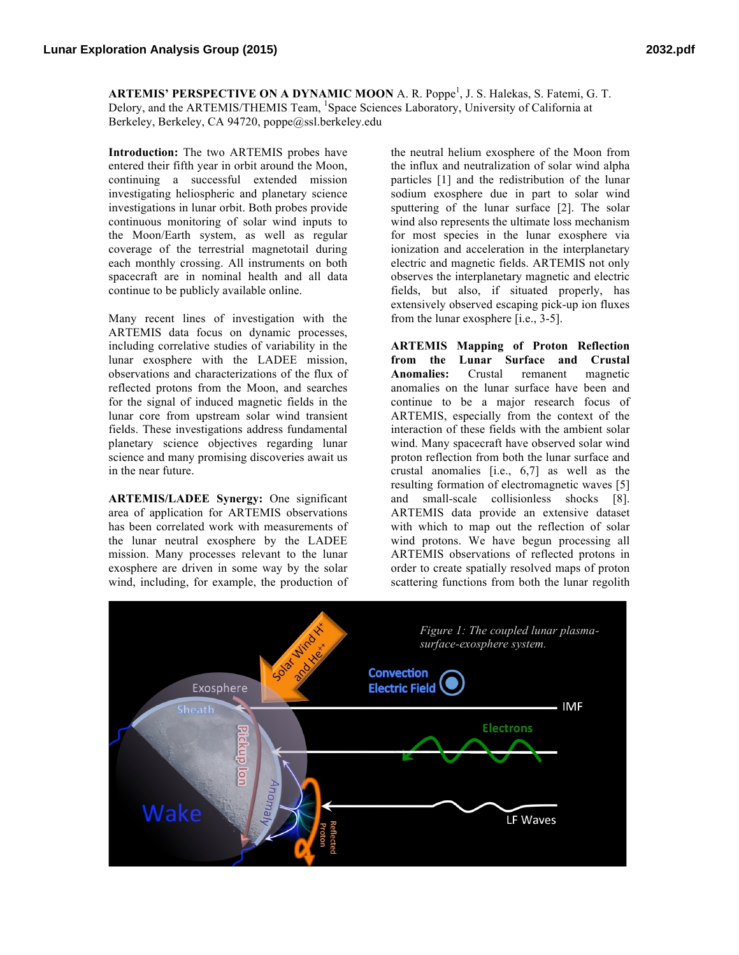**ARTEMIS' PERSPECTIVE ON A DYNAMIC MOON** A. R. Poppe<sup>1</sup>, J. S. Halekas, S. Fatemi, G. T. Delory, and the ARTEMIS/THEMIS Team, <sup>1</sup>Space Sciences Laboratory, University of California at Berkeley, Berkeley, CA 94720, poppe@ssl.berkeley.edu

**Introduction:** The two ARTEMIS probes have entered their fifth year in orbit around the Moon, continuing a successful extended mission investigating heliospheric and planetary science investigations in lunar orbit. Both probes provide continuous monitoring of solar wind inputs to the Moon/Earth system, as well as regular coverage of the terrestrial magnetotail during each monthly crossing. All instruments on both spacecraft are in nominal health and all data continue to be publicly available online.

Many recent lines of investigation with the ARTEMIS data focus on dynamic processes, including correlative studies of variability in the lunar exosphere with the LADEE mission, observations and characterizations of the flux of reflected protons from the Moon, and searches for the signal of induced magnetic fields in the lunar core from upstream solar wind transient fields. These investigations address fundamental planetary science objectives regarding lunar science and many promising discoveries await us in the near future.

**ARTEMIS/LADEE Synergy:** One significant area of application for ARTEMIS observations has been correlated work with measurements of the lunar neutral exosphere by the LADEE mission. Many processes relevant to the lunar exosphere are driven in some way by the solar wind, including, for example, the production of

the neutral helium exosphere of the Moon from the influx and neutralization of solar wind alpha particles [1] and the redistribution of the lunar sodium exosphere due in part to solar wind sputtering of the lunar surface [2]. The solar wind also represents the ultimate loss mechanism for most species in the lunar exosphere via ionization and acceleration in the interplanetary electric and magnetic fields. ARTEMIS not only observes the interplanetary magnetic and electric fields, but also, if situated properly, has extensively observed escaping pick-up ion fluxes from the lunar exosphere [i.e., 3-5].

**ARTEMIS Mapping of Proton Reflection from the Lunar Surface and Crustal Anomalies:** Crustal remanent magnetic anomalies on the lunar surface have been and continue to be a major research focus of ARTEMIS, especially from the context of the interaction of these fields with the ambient solar wind. Many spacecraft have observed solar wind proton reflection from both the lunar surface and crustal anomalies [i.e., 6,7] as well as the resulting formation of electromagnetic waves [5] and small-scale collisionless shocks [8]. ARTEMIS data provide an extensive dataset with which to map out the reflection of solar wind protons. We have begun processing all ARTEMIS observations of reflected protons in order to create spatially resolved maps of proton scattering functions from both the lunar regolith